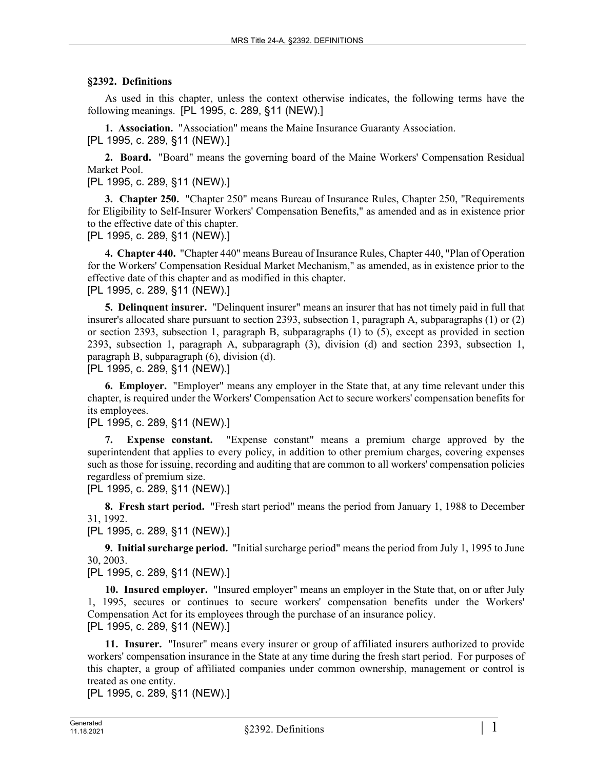## **§2392. Definitions**

As used in this chapter, unless the context otherwise indicates, the following terms have the following meanings. [PL 1995, c. 289, §11 (NEW).]

**1. Association.** "Association" means the Maine Insurance Guaranty Association. [PL 1995, c. 289, §11 (NEW).]

**2. Board.** "Board" means the governing board of the Maine Workers' Compensation Residual Market Pool.

[PL 1995, c. 289, §11 (NEW).]

**3. Chapter 250.** "Chapter 250" means Bureau of Insurance Rules, Chapter 250, "Requirements for Eligibility to Self-Insurer Workers' Compensation Benefits," as amended and as in existence prior to the effective date of this chapter.

[PL 1995, c. 289, §11 (NEW).]

**4. Chapter 440.** "Chapter 440" means Bureau of Insurance Rules, Chapter 440, "Plan of Operation for the Workers' Compensation Residual Market Mechanism," as amended, as in existence prior to the effective date of this chapter and as modified in this chapter.

[PL 1995, c. 289, §11 (NEW).]

**5. Delinquent insurer.** "Delinquent insurer" means an insurer that has not timely paid in full that insurer's allocated share pursuant to section 2393, subsection 1, paragraph A, subparagraphs (1) or (2) or section 2393, subsection 1, paragraph B, subparagraphs (1) to (5), except as provided in section 2393, subsection 1, paragraph A, subparagraph (3), division (d) and section 2393, subsection 1, paragraph B, subparagraph (6), division (d).

[PL 1995, c. 289, §11 (NEW).]

**6. Employer.** "Employer" means any employer in the State that, at any time relevant under this chapter, is required under the Workers' Compensation Act to secure workers' compensation benefits for its employees.

[PL 1995, c. 289, §11 (NEW).]

**7. Expense constant.** "Expense constant" means a premium charge approved by the superintendent that applies to every policy, in addition to other premium charges, covering expenses such as those for issuing, recording and auditing that are common to all workers' compensation policies regardless of premium size.

[PL 1995, c. 289, §11 (NEW).]

**8. Fresh start period.** "Fresh start period" means the period from January 1, 1988 to December 31, 1992.

[PL 1995, c. 289, §11 (NEW).]

**9. Initial surcharge period.** "Initial surcharge period" means the period from July 1, 1995 to June 30, 2003.

[PL 1995, c. 289, §11 (NEW).]

**10. Insured employer.** "Insured employer" means an employer in the State that, on or after July 1, 1995, secures or continues to secure workers' compensation benefits under the Workers' Compensation Act for its employees through the purchase of an insurance policy. [PL 1995, c. 289, §11 (NEW).]

**11. Insurer.** "Insurer" means every insurer or group of affiliated insurers authorized to provide workers' compensation insurance in the State at any time during the fresh start period. For purposes of this chapter, a group of affiliated companies under common ownership, management or control is treated as one entity.

[PL 1995, c. 289, §11 (NEW).]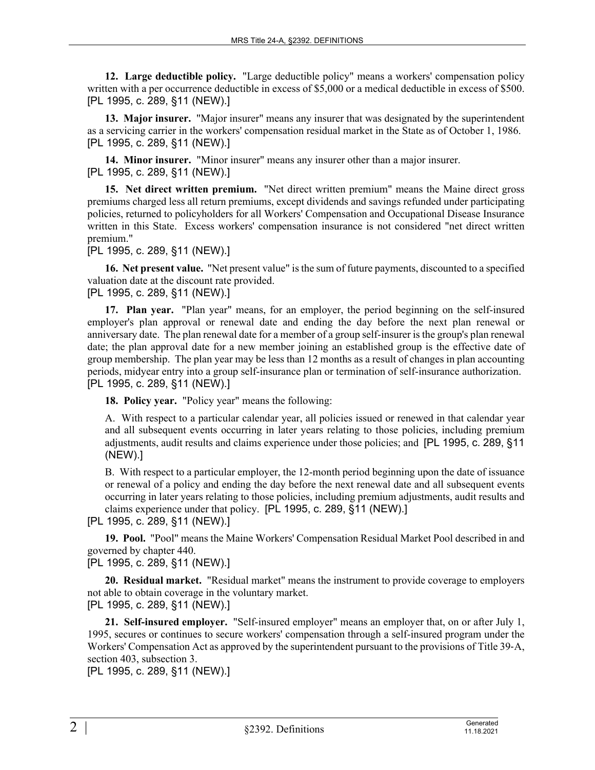**12. Large deductible policy.** "Large deductible policy" means a workers' compensation policy written with a per occurrence deductible in excess of \$5,000 or a medical deductible in excess of \$500. [PL 1995, c. 289, §11 (NEW).]

**13. Major insurer.** "Major insurer" means any insurer that was designated by the superintendent as a servicing carrier in the workers' compensation residual market in the State as of October 1, 1986. [PL 1995, c. 289, §11 (NEW).]

**14. Minor insurer.** "Minor insurer" means any insurer other than a major insurer. [PL 1995, c. 289, §11 (NEW).]

**15. Net direct written premium.** "Net direct written premium" means the Maine direct gross premiums charged less all return premiums, except dividends and savings refunded under participating policies, returned to policyholders for all Workers' Compensation and Occupational Disease Insurance written in this State. Excess workers' compensation insurance is not considered "net direct written premium."

## [PL 1995, c. 289, §11 (NEW).]

**16. Net present value.** "Net present value" is the sum of future payments, discounted to a specified valuation date at the discount rate provided.

[PL 1995, c. 289, §11 (NEW).]

**17. Plan year.** "Plan year" means, for an employer, the period beginning on the self-insured employer's plan approval or renewal date and ending the day before the next plan renewal or anniversary date. The plan renewal date for a member of a group self-insurer is the group's plan renewal date; the plan approval date for a new member joining an established group is the effective date of group membership. The plan year may be less than 12 months as a result of changes in plan accounting periods, midyear entry into a group self-insurance plan or termination of self-insurance authorization. [PL 1995, c. 289, §11 (NEW).]

**18. Policy year.** "Policy year" means the following:

A. With respect to a particular calendar year, all policies issued or renewed in that calendar year and all subsequent events occurring in later years relating to those policies, including premium adjustments, audit results and claims experience under those policies; and [PL 1995, c. 289, §11 (NEW).]

B. With respect to a particular employer, the 12-month period beginning upon the date of issuance or renewal of a policy and ending the day before the next renewal date and all subsequent events occurring in later years relating to those policies, including premium adjustments, audit results and claims experience under that policy. [PL 1995, c. 289, §11 (NEW).]

[PL 1995, c. 289, §11 (NEW).]

**19. Pool.** "Pool" means the Maine Workers' Compensation Residual Market Pool described in and governed by chapter 440.

## [PL 1995, c. 289, §11 (NEW).]

**20. Residual market.** "Residual market" means the instrument to provide coverage to employers not able to obtain coverage in the voluntary market. [PL 1995, c. 289, §11 (NEW).]

**21. Self-insured employer.** "Self-insured employer" means an employer that, on or after July 1, 1995, secures or continues to secure workers' compensation through a self-insured program under the Workers' Compensation Act as approved by the superintendent pursuant to the provisions of Title 39-A, section 403, subsection 3.

[PL 1995, c. 289, §11 (NEW).]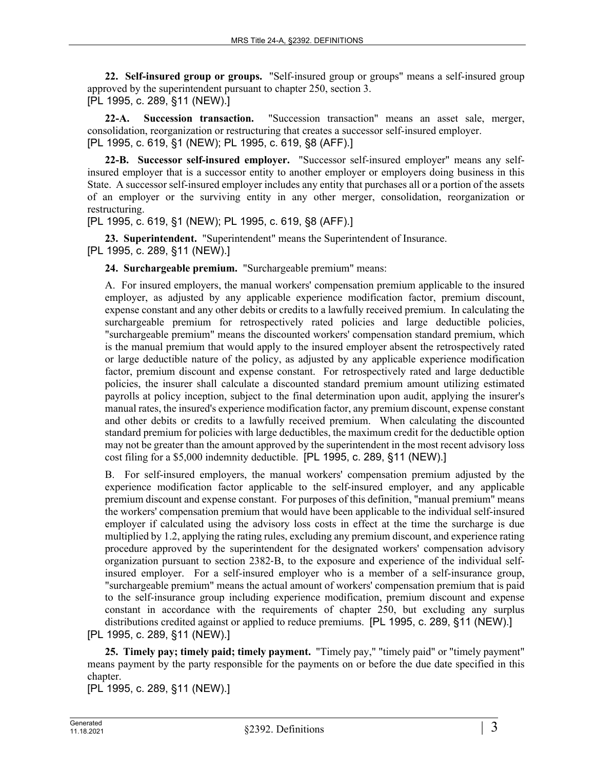**22. Self-insured group or groups.** "Self-insured group or groups" means a self-insured group approved by the superintendent pursuant to chapter 250, section 3. [PL 1995, c. 289, §11 (NEW).]

**22-A. Succession transaction.** "Succession transaction" means an asset sale, merger, consolidation, reorganization or restructuring that creates a successor self-insured employer. [PL 1995, c. 619, §1 (NEW); PL 1995, c. 619, §8 (AFF).]

**22-B. Successor self-insured employer.** "Successor self-insured employer" means any selfinsured employer that is a successor entity to another employer or employers doing business in this State. A successor self-insured employer includes any entity that purchases all or a portion of the assets of an employer or the surviving entity in any other merger, consolidation, reorganization or restructuring.

[PL 1995, c. 619, §1 (NEW); PL 1995, c. 619, §8 (AFF).]

**23. Superintendent.** "Superintendent" means the Superintendent of Insurance.

[PL 1995, c. 289, §11 (NEW).]

**24. Surchargeable premium.** "Surchargeable premium" means:

A. For insured employers, the manual workers' compensation premium applicable to the insured employer, as adjusted by any applicable experience modification factor, premium discount, expense constant and any other debits or credits to a lawfully received premium. In calculating the surchargeable premium for retrospectively rated policies and large deductible policies, "surchargeable premium" means the discounted workers' compensation standard premium, which is the manual premium that would apply to the insured employer absent the retrospectively rated or large deductible nature of the policy, as adjusted by any applicable experience modification factor, premium discount and expense constant. For retrospectively rated and large deductible policies, the insurer shall calculate a discounted standard premium amount utilizing estimated payrolls at policy inception, subject to the final determination upon audit, applying the insurer's manual rates, the insured's experience modification factor, any premium discount, expense constant and other debits or credits to a lawfully received premium. When calculating the discounted standard premium for policies with large deductibles, the maximum credit for the deductible option may not be greater than the amount approved by the superintendent in the most recent advisory loss cost filing for a \$5,000 indemnity deductible. [PL 1995, c. 289, §11 (NEW).]

B. For self-insured employers, the manual workers' compensation premium adjusted by the experience modification factor applicable to the self-insured employer, and any applicable premium discount and expense constant. For purposes of this definition, "manual premium" means the workers' compensation premium that would have been applicable to the individual self-insured employer if calculated using the advisory loss costs in effect at the time the surcharge is due multiplied by 1.2, applying the rating rules, excluding any premium discount, and experience rating procedure approved by the superintendent for the designated workers' compensation advisory organization pursuant to section 2382‑B, to the exposure and experience of the individual selfinsured employer. For a self-insured employer who is a member of a self-insurance group, "surchargeable premium" means the actual amount of workers' compensation premium that is paid to the self-insurance group including experience modification, premium discount and expense constant in accordance with the requirements of chapter 250, but excluding any surplus distributions credited against or applied to reduce premiums. [PL 1995, c. 289, §11 (NEW).]

[PL 1995, c. 289, §11 (NEW).]

**25. Timely pay; timely paid; timely payment.** "Timely pay," "timely paid" or "timely payment" means payment by the party responsible for the payments on or before the due date specified in this chapter.

[PL 1995, c. 289, §11 (NEW).]